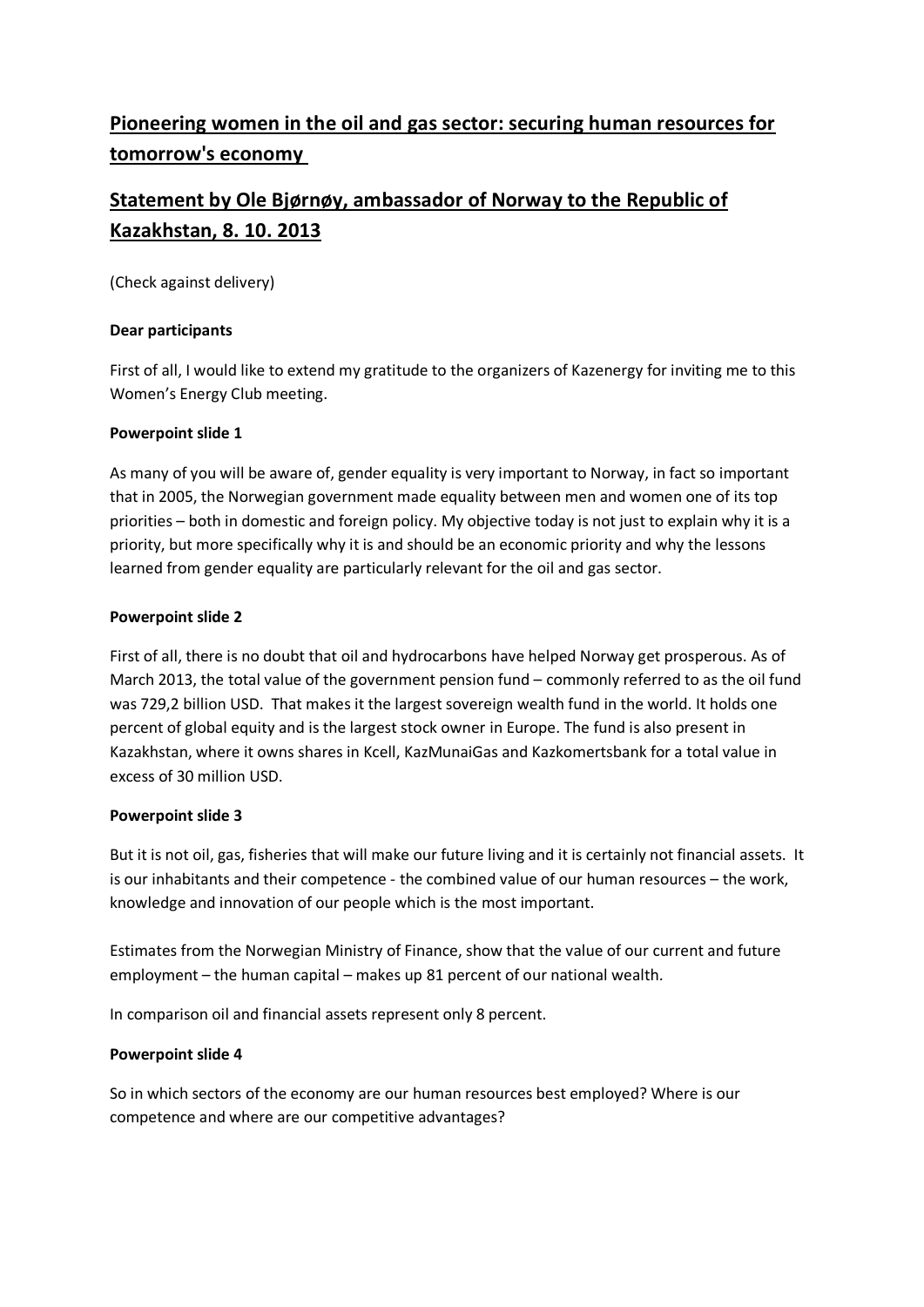# **Pioneering women in the oil and gas sector: securing human resources for tomorrow's economy**

# **Statement by Ole Bjørnøy, ambassador of Norway to the Republic of Kazakhstan, 8. 10. 2013**

(Check against delivery)

## **Dear participants**

First of all, I would like to extend my gratitude to the organizers of Kazenergy for inviting me to this Women's Energy Club meeting.

## **Powerpoint slide 1**

As many of you will be aware of, gender equality is very important to Norway, in fact so important that in 2005, the Norwegian government made equality between men and women one of its top priorities – both in domestic and foreign policy. My objective today is not just to explain why it is a priority, but more specifically why it is and should be an economic priority and why the lessons learned from gender equality are particularly relevant for the oil and gas sector.

## **Powerpoint slide 2**

First of all, there is no doubt that oil and hydrocarbons have helped Norway get prosperous. As of March 2013, the total value of the government pension fund – commonly referred to as the oil fund was 729,2 billion USD. That makes it the largest sovereign wealth fund in the world. It holds one percent of global equity and is the largest stock owner in Europe. The fund is also present in Kazakhstan, where it owns shares in Kcell, KazMunaiGas and Kazkomertsbank for a total value in excess of 30 million USD.

## **Powerpoint slide 3**

But it is not oil, gas, fisheries that will make our future living and it is certainly not financial assets. It is our inhabitants and their competence - the combined value of our human resources – the work, knowledge and innovation of our people which is the most important.

Estimates from the Norwegian Ministry of Finance, show that the value of our current and future employment – the human capital – makes up 81 percent of our national wealth.

In comparison oil and financial assets represent only 8 percent.

## **Powerpoint slide 4**

So in which sectors of the economy are our human resources best employed? Where is our competence and where are our competitive advantages?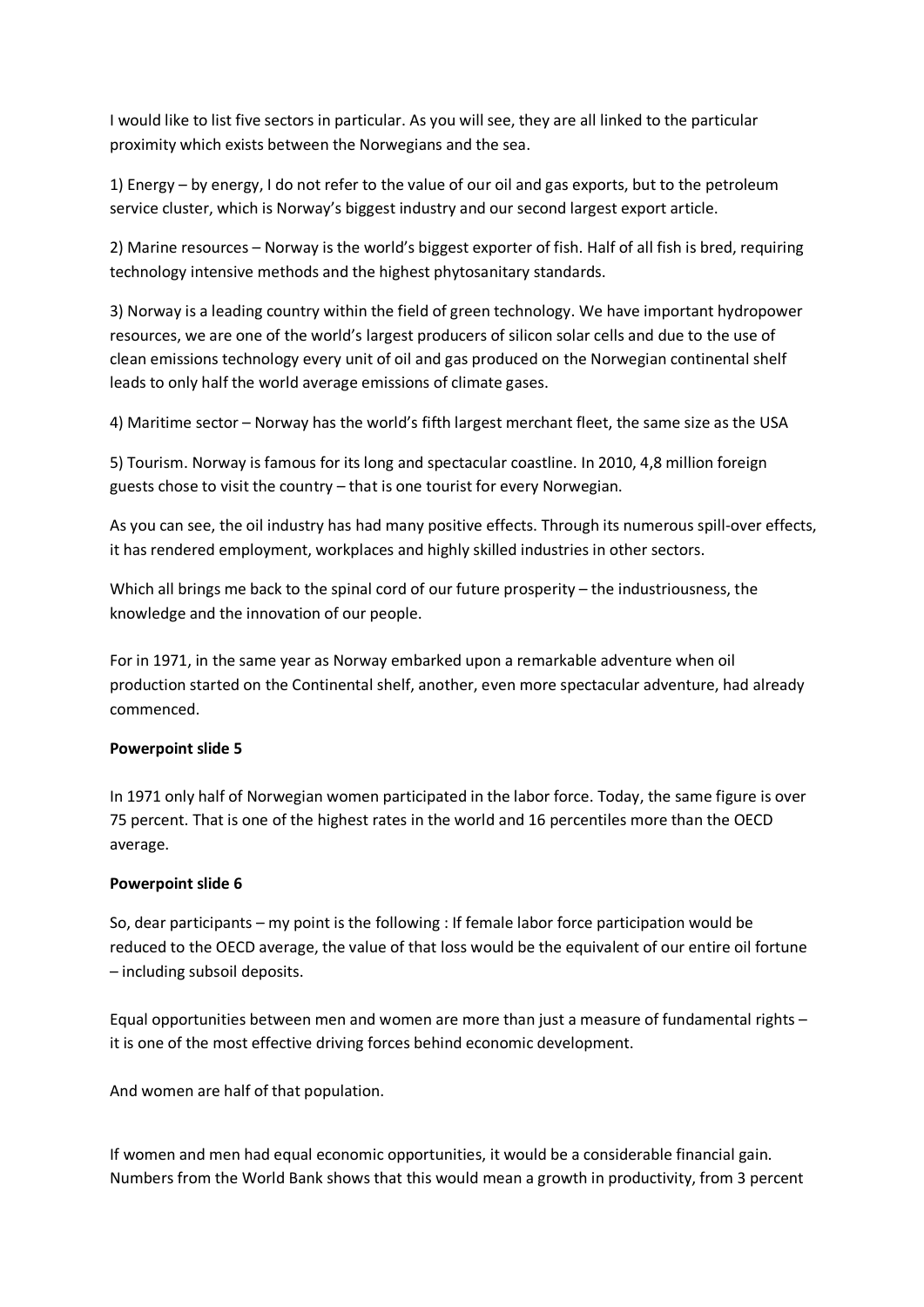I would like to list five sectors in particular. As you will see, they are all linked to the particular proximity which exists between the Norwegians and the sea.

1) Energy – by energy, I do not refer to the value of our oil and gas exports, but to the petroleum service cluster, which is Norway's biggest industry and our second largest export article.

2) Marine resources – Norway is the world's biggest exporter of fish. Half of all fish is bred, requiring technology intensive methods and the highest phytosanitary standards.

3) [Norway](http://en.wikipedia.org/wiki/Norway) is a leading country within the field of green technology. We have important hydropower resources, we are one of the world's largest producers of silicon solar cells and due to the use of clean emissions technology every unit of oil and gas produced on the Norwegian continental shelf leads to only half the world average emissions of climate gases.

4) Maritime sector – Norway has the world's fifth largest merchant fleet, the same size as the USA

5) Tourism. Norway is famous for its long and spectacular coastline. In 2010, 4,8 million foreign guests chose to visit the country – that is one tourist for every Norwegian.

As you can see, the oil industry has had many positive effects. Through its numerous spill-over effects, it has rendered employment, workplaces and highly skilled industries in other sectors.

Which all brings me back to the spinal cord of our future prosperity – the industriousness, the knowledge and the innovation of our people.

For in 1971, in the same year as Norway embarked upon a remarkable adventure when oil production started on the Continental shelf, another, even more spectacular adventure, had already commenced.

#### **Powerpoint slide 5**

In 1971 only half of Norwegian women participated in the labor force. Today, the same figure is over 75 percent. That is one of the highest rates in the world and 16 percentiles more than the OECD average.

#### **Powerpoint slide 6**

So, dear participants – my point is the following : If female labor force participation would be reduced to the OECD average, the value of that loss would be the equivalent of our entire oil fortune – including subsoil deposits.

Equal opportunities between men and women are more than just a measure of fundamental rights – it is one of the most effective driving forces behind economic development.

And women are half of that population.

If women and men had equal economic opportunities, it would be a considerable financial gain. Numbers from the World Bank shows that this would mean a growth in productivity, from 3 percent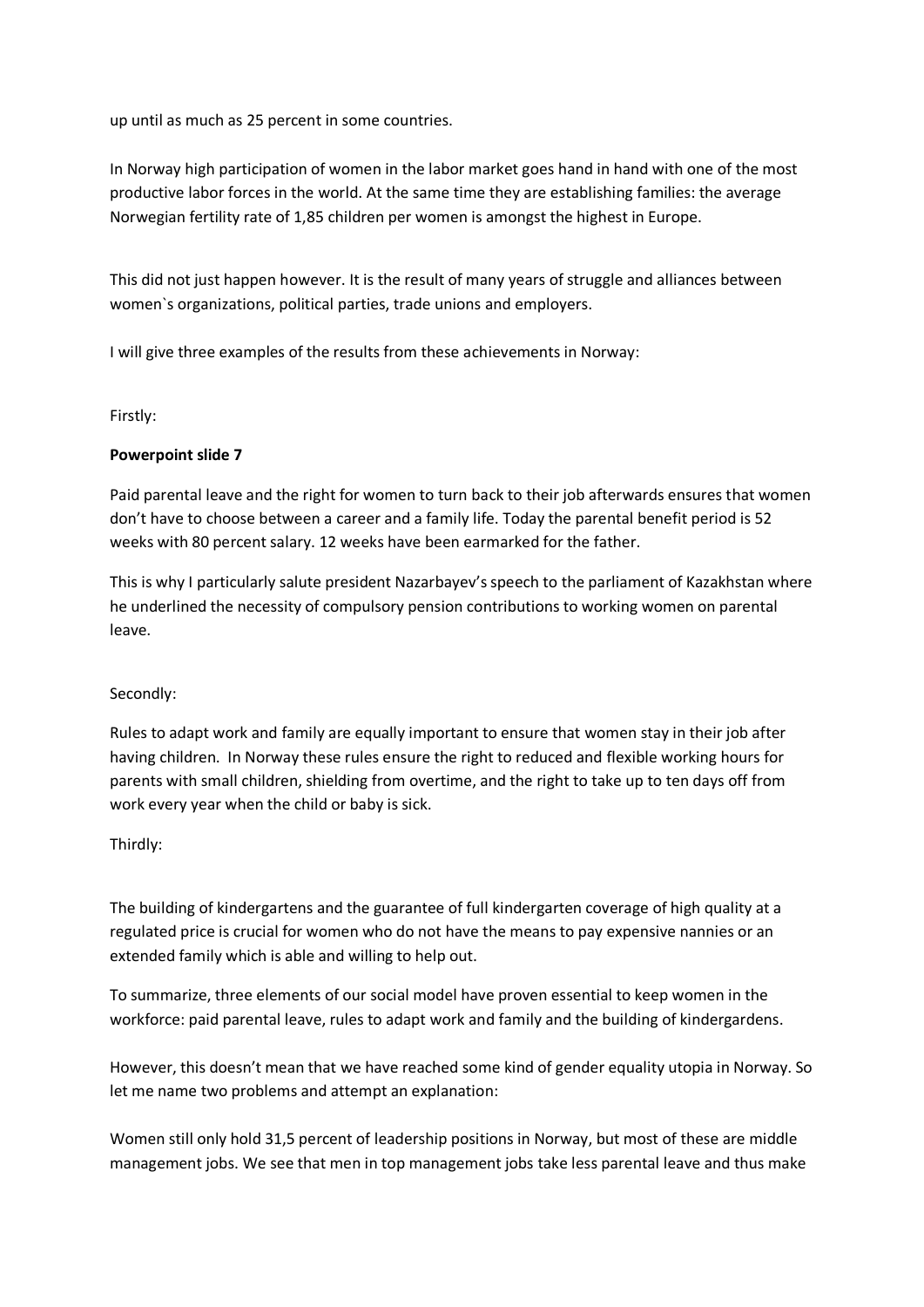up until as much as 25 percent in some countries.

In Norway high participation of women in the labor market goes hand in hand with one of the most productive labor forces in the world. At the same time they are establishing families: the average Norwegian fertility rate of 1,85 children per women is amongst the highest in Europe.

This did not just happen however. It is the result of many years of struggle and alliances between women`s organizations, political parties, trade unions and employers.

I will give three examples of the results from these achievements in Norway:

#### Firstly:

### **Powerpoint slide 7**

Paid parental leave and the right for women to turn back to their job afterwards ensures that women don't have to choose between a career and a family life. Today the parental benefit period is 52 weeks with 80 percent salary. 12 weeks have been earmarked for the father.

This is why I particularly salute president Nazarbayev's speech to the parliament of Kazakhstan where he underlined the necessity of compulsory pension contributions to working women on parental leave.

#### Secondly:

Rules to adapt work and family are equally important to ensure that women stay in their job after having children. In Norway these rules ensure the right to reduced and flexible working hours for parents with small children, shielding from overtime, and the right to take up to ten days off from work every year when the child or baby is sick.

#### Thirdly:

The building of kindergartens and the guarantee of full kindergarten coverage of high quality at a regulated price is crucial for women who do not have the means to pay expensive nannies or an extended family which is able and willing to help out.

To summarize, three elements of our social model have proven essential to keep women in the workforce: paid parental leave, rules to adapt work and family and the building of kindergardens.

However, this doesn't mean that we have reached some kind of gender equality utopia in Norway. So let me name two problems and attempt an explanation:

Women still only hold 31,5 percent of leadership positions in Norway, but most of these are middle management jobs. We see that men in top management jobs take less parental leave and thus make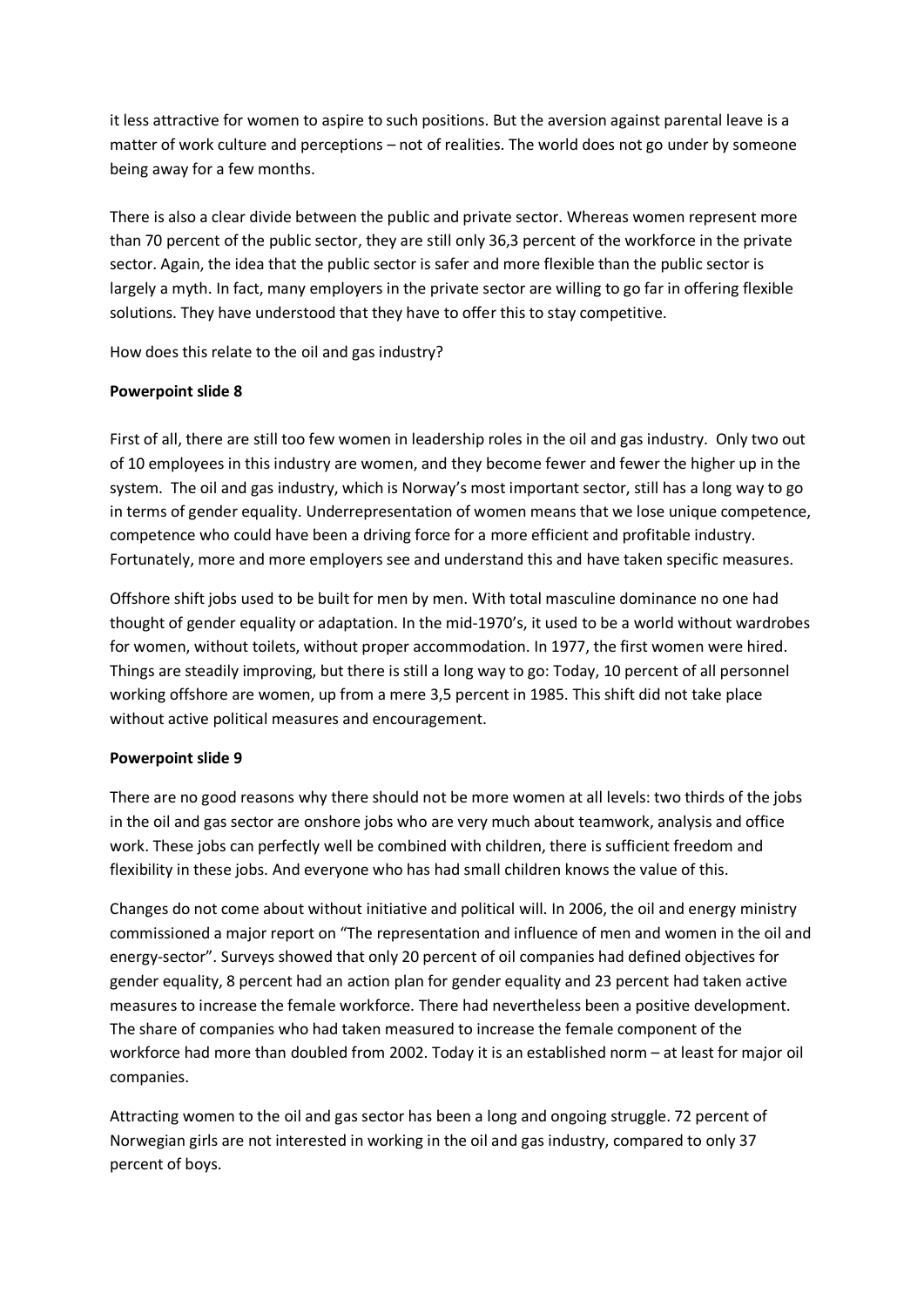it less attractive for women to aspire to such positions. But the aversion against parental leave is a matter of work culture and perceptions – not of realities. The world does not go under by someone being away for a few months.

There is also a clear divide between the public and private sector. Whereas women represent more than 70 percent of the public sector, they are still only 36,3 percent of the workforce in the private sector. Again, the idea that the public sector is safer and more flexible than the public sector is largely a myth. In fact, many employers in the private sector are willing to go far in offering flexible solutions. They have understood that they have to offer this to stay competitive.

How does this relate to the oil and gas industry?

### **Powerpoint slide 8**

First of all, there are still too few women in leadership roles in the oil and gas industry. Only two out of 10 employees in this industry are women, and they become fewer and fewer the higher up in the system. The oil and gas industry, which is Norway's most important sector, still has a long way to go in terms of gender equality. Underrepresentation of women means that we lose unique competence, competence who could have been a driving force for a more efficient and profitable industry. Fortunately, more and more employers see and understand this and have taken specific measures.

Offshore shift jobs used to be built for men by men. With total masculine dominance no one had thought of gender equality or adaptation. In the mid-1970's, it used to be a world without wardrobes for women, without toilets, without proper accommodation. In 1977, the first women were hired. Things are steadily improving, but there is still a long way to go: Today, 10 percent of all personnel working offshore are women, up from a mere 3,5 percent in 1985. This shift did not take place without active political measures and encouragement.

## **Powerpoint slide 9**

There are no good reasons why there should not be more women at all levels: two thirds of the jobs in the oil and gas sector are onshore jobs who are very much about teamwork, analysis and office work. These jobs can perfectly well be combined with children, there is sufficient freedom and flexibility in these jobs. And everyone who has had small children knows the value of this.

Changes do not come about without initiative and political will. In 2006, the oil and energy ministry commissioned a major report on "The representation and influence of men and women in the oil and energy-sector". Surveys showed that only 20 percent of oil companies had defined objectives for gender equality, 8 percent had an action plan for gender equality and 23 percent had taken active measures to increase the female workforce. There had nevertheless been a positive development. The share of companies who had taken measured to increase the female component of the workforce had more than doubled from 2002. Today it is an established norm – at least for major oil companies.

Attracting women to the oil and gas sector has been a long and ongoing struggle. 72 percent of Norwegian girls are not interested in working in the oil and gas industry, compared to only 37 percent of boys.